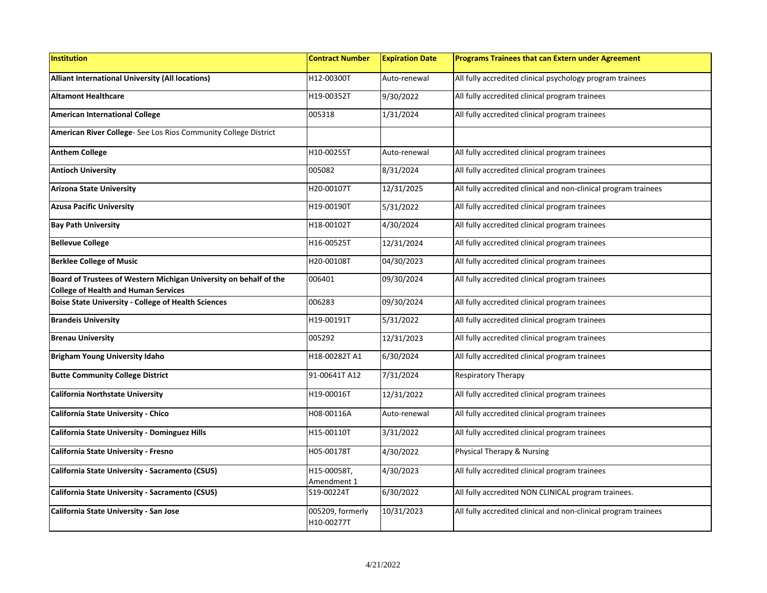| <b>Institution</b>                                                                                               | <b>Contract Number</b>         | <b>Expiration Date</b> | Programs Trainees that can Extern under Agreement               |
|------------------------------------------------------------------------------------------------------------------|--------------------------------|------------------------|-----------------------------------------------------------------|
| <b>Alliant International University (All locations)</b>                                                          | H12-00300T                     | Auto-renewal           | All fully accredited clinical psychology program trainees       |
| <b>Altamont Healthcare</b>                                                                                       | H19-00352T                     | 9/30/2022              | All fully accredited clinical program trainees                  |
| <b>American International College</b>                                                                            | 005318                         | 1/31/2024              | All fully accredited clinical program trainees                  |
| American River College- See Los Rios Community College District                                                  |                                |                        |                                                                 |
| <b>Anthem College</b>                                                                                            | H10-00255T                     | Auto-renewal           | All fully accredited clinical program trainees                  |
| <b>Antioch University</b>                                                                                        | 005082                         | 8/31/2024              | All fully accredited clinical program trainees                  |
| <b>Arizona State University</b>                                                                                  | H20-00107T                     | 12/31/2025             | All fully accredited clinical and non-clinical program trainees |
| <b>Azusa Pacific University</b>                                                                                  | H19-00190T                     | 5/31/2022              | All fully accredited clinical program trainees                  |
| <b>Bay Path University</b>                                                                                       | H18-00102T                     | 4/30/2024              | All fully accredited clinical program trainees                  |
| <b>Bellevue College</b>                                                                                          | H16-00525T                     | 12/31/2024             | All fully accredited clinical program trainees                  |
| <b>Berklee College of Music</b>                                                                                  | H20-00108T                     | 04/30/2023             | All fully accredited clinical program trainees                  |
| Board of Trustees of Western Michigan University on behalf of the<br><b>College of Health and Human Services</b> | 006401                         | 09/30/2024             | All fully accredited clinical program trainees                  |
| <b>Boise State University - College of Health Sciences</b>                                                       | 006283                         | 09/30/2024             | All fully accredited clinical program trainees                  |
| <b>Brandeis University</b>                                                                                       | H19-00191T                     | 5/31/2022              | All fully accredited clinical program trainees                  |
| <b>Brenau University</b>                                                                                         | 005292                         | 12/31/2023             | All fully accredited clinical program trainees                  |
| <b>Brigham Young University Idaho</b>                                                                            | H18-00282T A1                  | 6/30/2024              | All fully accredited clinical program trainees                  |
| <b>Butte Community College District</b>                                                                          | 91-00641T A12                  | 7/31/2024              | <b>Respiratory Therapy</b>                                      |
| <b>California Northstate University</b>                                                                          | H19-00016T                     | 12/31/2022             | All fully accredited clinical program trainees                  |
| <b>California State University - Chico</b>                                                                       | H08-00116A                     | Auto-renewal           | All fully accredited clinical program trainees                  |
| <b>California State University - Dominguez Hills</b>                                                             | H15-00110T                     | 3/31/2022              | All fully accredited clinical program trainees                  |
| California State University - Fresno                                                                             | H05-00178T                     | 4/30/2022              | Physical Therapy & Nursing                                      |
| California State University - Sacramento (CSUS)                                                                  | H15-00058T,<br>Amendment 1     | 4/30/2023              | All fully accredited clinical program trainees                  |
| California State University - Sacramento (CSUS)                                                                  | S19-00224T                     | 6/30/2022              | All fully accredited NON CLINICAL program trainees.             |
| California State University - San Jose                                                                           | 005209, formerly<br>H10-00277T | 10/31/2023             | All fully accredited clinical and non-clinical program trainees |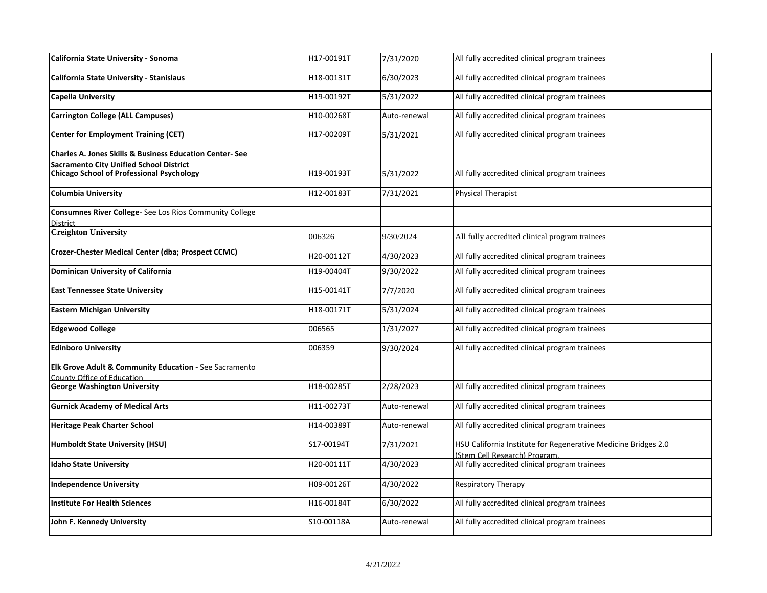| California State University - Sonoma                                                                          | H17-00191T | 7/31/2020    | All fully accredited clinical program trainees                                                 |
|---------------------------------------------------------------------------------------------------------------|------------|--------------|------------------------------------------------------------------------------------------------|
| California State University - Stanislaus                                                                      | H18-00131T | 6/30/2023    | All fully accredited clinical program trainees                                                 |
| <b>Capella University</b>                                                                                     | H19-00192T | 5/31/2022    | All fully accredited clinical program trainees                                                 |
| <b>Carrington College (ALL Campuses)</b>                                                                      | H10-00268T | Auto-renewal | All fully accredited clinical program trainees                                                 |
| <b>Center for Employment Training (CET)</b>                                                                   | H17-00209T | 5/31/2021    | All fully accredited clinical program trainees                                                 |
| <b>Charles A. Jones Skills &amp; Business Education Center-See</b><br>Sacramento City Unified School District |            |              |                                                                                                |
| <b>Chicago School of Professional Psychology</b>                                                              | H19-00193T | 5/31/2022    | All fully accredited clinical program trainees                                                 |
|                                                                                                               |            |              |                                                                                                |
| <b>Columbia University</b>                                                                                    | H12-00183T | 7/31/2021    | Physical Therapist                                                                             |
| Consumnes River College- See Los Rios Community College                                                       |            |              |                                                                                                |
| District<br><b>Creighton University</b>                                                                       |            |              |                                                                                                |
|                                                                                                               | 006326     | 9/30/2024    | All fully accredited clinical program trainees                                                 |
| Crozer-Chester Medical Center (dba; Prospect CCMC)                                                            | H20-00112T | 4/30/2023    | All fully accredited clinical program trainees                                                 |
| Dominican University of California                                                                            | H19-00404T | 9/30/2022    | All fully accredited clinical program trainees                                                 |
| <b>East Tennessee State University</b>                                                                        | H15-00141T | 7/7/2020     | All fully accredited clinical program trainees                                                 |
| <b>Eastern Michigan University</b>                                                                            | H18-00171T | 5/31/2024    | All fully accredited clinical program trainees                                                 |
| <b>Edgewood College</b>                                                                                       | 006565     | 1/31/2027    | All fully accredited clinical program trainees                                                 |
| <b>Edinboro University</b>                                                                                    | 006359     | 9/30/2024    | All fully accredited clinical program trainees                                                 |
| <b>Elk Grove Adult &amp; Community Education - See Sacramento</b>                                             |            |              |                                                                                                |
| County Office of Education<br><b>George Washington University</b>                                             | H18-00285T | 2/28/2023    | All fully accredited clinical program trainees                                                 |
|                                                                                                               |            |              |                                                                                                |
| <b>Gurnick Academy of Medical Arts</b>                                                                        | H11-00273T | Auto-renewal | All fully accredited clinical program trainees                                                 |
| <b>Heritage Peak Charter School</b>                                                                           | H14-00389T | Auto-renewal | All fully accredited clinical program trainees                                                 |
| <b>Humboldt State University (HSU)</b>                                                                        | S17-00194T | 7/31/2021    | HSU California Institute for Regenerative Medicine Bridges 2.0<br>(Stem Cell Research) Program |
| <b>Idaho State University</b>                                                                                 | H20-00111T | 4/30/2023    | All fully accredited clinical program trainees                                                 |
| <b>Independence University</b>                                                                                | H09-00126T | 4/30/2022    | <b>Respiratory Therapy</b>                                                                     |
| <b>Institute For Health Sciences</b>                                                                          | H16-00184T | 6/30/2022    | All fully accredited clinical program trainees                                                 |
| John F. Kennedy University                                                                                    | S10-00118A | Auto-renewal | All fully accredited clinical program trainees                                                 |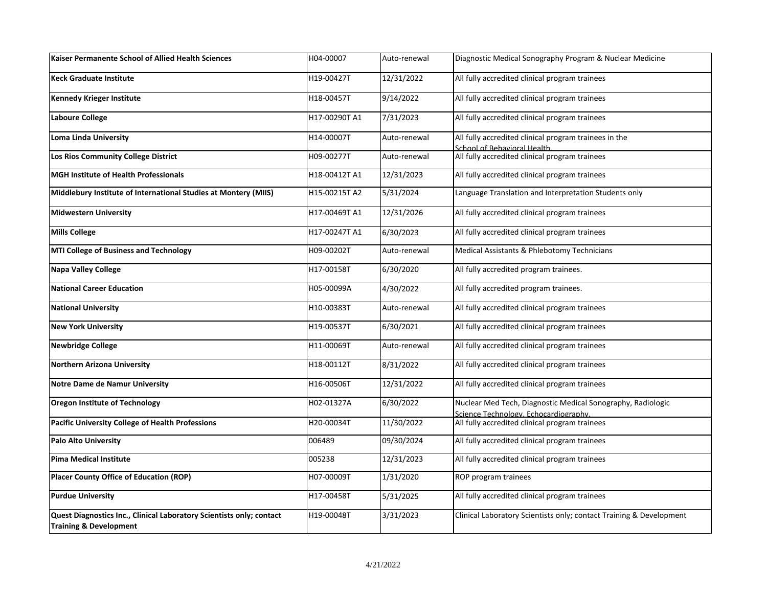| Kaiser Permanente School of Allied Health Sciences                                                        | H04-00007     | Auto-renewal | Diagnostic Medical Sonography Program & Nuclear Medicine                                             |
|-----------------------------------------------------------------------------------------------------------|---------------|--------------|------------------------------------------------------------------------------------------------------|
| <b>Keck Graduate Institute</b>                                                                            | H19-00427T    | 12/31/2022   | All fully accredited clinical program trainees                                                       |
| <b>Kennedy Krieger Institute</b>                                                                          | H18-00457T    | 9/14/2022    | All fully accredited clinical program trainees                                                       |
| Laboure College                                                                                           | H17-00290T A1 | 7/31/2023    | All fully accredited clinical program trainees                                                       |
| <b>Loma Linda University</b>                                                                              | H14-00007T    | Auto-renewal | All fully accredited clinical program trainees in the<br>School of Behavioral Health                 |
| Los Rios Community College District                                                                       | H09-00277T    | Auto-renewal | All fully accredited clinical program trainees                                                       |
| <b>MGH Institute of Health Professionals</b>                                                              | H18-00412T A1 | 12/31/2023   | All fully accredited clinical program trainees                                                       |
| Middlebury Institute of International Studies at Montery (MIIS)                                           | H15-00215T A2 | 5/31/2024    | Language Translation and Interpretation Students only                                                |
| <b>Midwestern University</b>                                                                              | H17-00469T A1 | 12/31/2026   | All fully accredited clinical program trainees                                                       |
| <b>Mills College</b>                                                                                      | H17-00247T A1 | 6/30/2023    | All fully accredited clinical program trainees                                                       |
| <b>MTI College of Business and Technology</b>                                                             | H09-00202T    | Auto-renewal | Medical Assistants & Phlebotomy Technicians                                                          |
| <b>Napa Valley College</b>                                                                                | H17-00158T    | 6/30/2020    | All fully accredited program trainees.                                                               |
| <b>National Career Education</b>                                                                          | H05-00099A    | 4/30/2022    | All fully accredited program trainees.                                                               |
| <b>National University</b>                                                                                | H10-00383T    | Auto-renewal | All fully accredited clinical program trainees                                                       |
| <b>New York University</b>                                                                                | H19-00537T    | 6/30/2021    | All fully accredited clinical program trainees                                                       |
| <b>Newbridge College</b>                                                                                  | H11-00069T    | Auto-renewal | All fully accredited clinical program trainees                                                       |
| <b>Northern Arizona University</b>                                                                        | H18-00112T    | 8/31/2022    | All fully accredited clinical program trainees                                                       |
| <b>Notre Dame de Namur University</b>                                                                     | H16-00506T    | 12/31/2022   | All fully accredited clinical program trainees                                                       |
| <b>Oregon Institute of Technology</b>                                                                     | H02-01327A    | 6/30/2022    | Nuclear Med Tech, Diagnostic Medical Sonography, Radiologic<br>Science Technology, Echocardiography, |
| <b>Pacific University College of Health Professions</b>                                                   | H20-00034T    | 11/30/2022   | All fully accredited clinical program trainees                                                       |
| <b>Palo Alto University</b>                                                                               | 006489        | 09/30/2024   | All fully accredited clinical program trainees                                                       |
| <b>Pima Medical Institute</b>                                                                             | 005238        | 12/31/2023   | All fully accredited clinical program trainees                                                       |
| <b>Placer County Office of Education (ROP)</b>                                                            | H07-00009T    | 1/31/2020    | ROP program trainees                                                                                 |
| <b>Purdue University</b>                                                                                  | H17-00458T    | 5/31/2025    | All fully accredited clinical program trainees                                                       |
| Quest Diagnostics Inc., Clinical Laboratory Scientists only; contact<br><b>Training &amp; Development</b> | H19-00048T    | 3/31/2023    | Clinical Laboratory Scientists only; contact Training & Development                                  |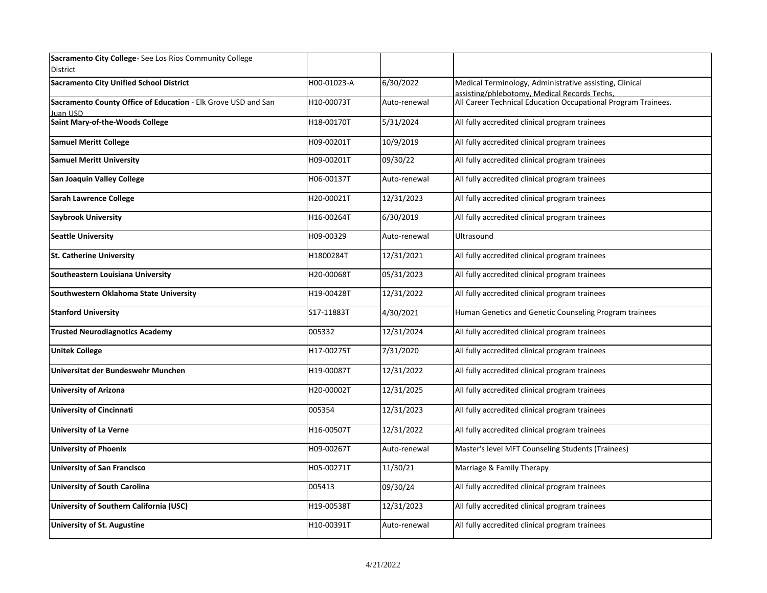| Sacramento City College-See Los Rios Community College<br>District        |             |              |                                                                                                         |
|---------------------------------------------------------------------------|-------------|--------------|---------------------------------------------------------------------------------------------------------|
| <b>Sacramento City Unified School District</b>                            | H00-01023-A | 6/30/2022    | Medical Terminology, Administrative assisting, Clinical<br>assisting/phlebotomy, Medical Records Techs. |
| Sacramento County Office of Education - Elk Grove USD and San<br>Juan USD | H10-00073T  | Auto-renewal | All Career Technical Education Occupational Program Trainees.                                           |
| Saint Mary-of-the-Woods College                                           | H18-00170T  | 5/31/2024    | All fully accredited clinical program trainees                                                          |
| <b>Samuel Meritt College</b>                                              | H09-00201T  | 10/9/2019    | All fully accredited clinical program trainees                                                          |
| <b>Samuel Meritt University</b>                                           | H09-00201T  | 09/30/22     | All fully accredited clinical program trainees                                                          |
| San Joaquin Valley College                                                | H06-00137T  | Auto-renewal | All fully accredited clinical program trainees                                                          |
| <b>Sarah Lawrence College</b>                                             | H20-00021T  | 12/31/2023   | All fully accredited clinical program trainees                                                          |
| <b>Saybrook University</b>                                                | H16-00264T  | 6/30/2019    | All fully accredited clinical program trainees                                                          |
| <b>Seattle University</b>                                                 | H09-00329   | Auto-renewal | Ultrasound                                                                                              |
| <b>St. Catherine University</b>                                           | H1800284T   | 12/31/2021   | All fully accredited clinical program trainees                                                          |
| Southeastern Louisiana University                                         | H20-00068T  | 05/31/2023   | All fully accredited clinical program trainees                                                          |
| Southwestern Oklahoma State University                                    | H19-00428T  | 12/31/2022   | All fully accredited clinical program trainees                                                          |
| <b>Stanford University</b>                                                | S17-11883T  | 4/30/2021    | Human Genetics and Genetic Counseling Program trainees                                                  |
| <b>Trusted Neurodiagnotics Academy</b>                                    | 005332      | 12/31/2024   | All fully accredited clinical program trainees                                                          |
| <b>Unitek College</b>                                                     | H17-00275T  | 7/31/2020    | All fully accredited clinical program trainees                                                          |
| Universitat der Bundeswehr Munchen                                        | H19-00087T  | 12/31/2022   | All fully accredited clinical program trainees                                                          |
| <b>University of Arizona</b>                                              | H20-00002T  | 12/31/2025   | All fully accredited clinical program trainees                                                          |
| <b>University of Cincinnati</b>                                           | 005354      | 12/31/2023   | All fully accredited clinical program trainees                                                          |
| <b>University of La Verne</b>                                             | H16-00507T  | 12/31/2022   | All fully accredited clinical program trainees                                                          |
| <b>University of Phoenix</b>                                              | H09-00267T  | Auto-renewal | Master's level MFT Counseling Students (Trainees)                                                       |
| <b>University of San Francisco</b>                                        | H05-00271T  | 11/30/21     | Marriage & Family Therapy                                                                               |
| University of South Carolina                                              | 005413      | 09/30/24     | All fully accredited clinical program trainees                                                          |
| University of Southern California (USC)                                   | H19-00538T  | 12/31/2023   | All fully accredited clinical program trainees                                                          |
| <b>University of St. Augustine</b>                                        | H10-00391T  | Auto-renewal | All fully accredited clinical program trainees                                                          |